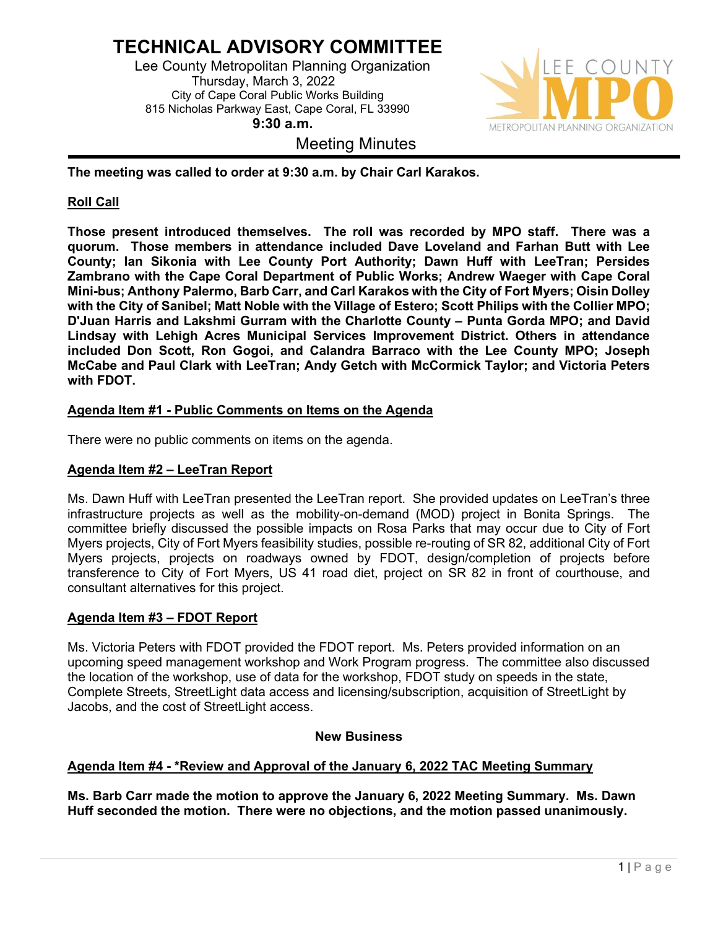# **TECHNICAL ADVISORY COMMITTEE**

 Lee County Metropolitan Planning Organization Thursday, March 3, 2022 City of Cape Coral Public Works Building 815 Nicholas Parkway East, Cape Coral, FL 33990 **9:30 a.m.**

# Meeting Minutes



**The meeting was called to order at 9:30 a.m. by Chair Carl Karakos.** 

# **Roll Call**

**Those present introduced themselves. The roll was recorded by MPO staff. There was a quorum. Those members in attendance included Dave Loveland and Farhan Butt with Lee County; Ian Sikonia with Lee County Port Authority; Dawn Huff with LeeTran; Persides Zambrano with the Cape Coral Department of Public Works; Andrew Waeger with Cape Coral Mini-bus; Anthony Palermo, Barb Carr, and Carl Karakos with the City of Fort Myers; Oisin Dolley with the City of Sanibel; Matt Noble with the Village of Estero; Scott Philips with the Collier MPO; D'Juan Harris and Lakshmi Gurram with the Charlotte County – Punta Gorda MPO; and David Lindsay with Lehigh Acres Municipal Services Improvement District. Others in attendance included Don Scott, Ron Gogoi, and Calandra Barraco with the Lee County MPO; Joseph McCabe and Paul Clark with LeeTran; Andy Getch with McCormick Taylor; and Victoria Peters with FDOT.** 

# **Agenda Item #1 - Public Comments on Items on the Agenda**

There were no public comments on items on the agenda.

## **Agenda Item #2 – LeeTran Report**

Ms. Dawn Huff with LeeTran presented the LeeTran report. She provided updates on LeeTran's three infrastructure projects as well as the mobility-on-demand (MOD) project in Bonita Springs. The committee briefly discussed the possible impacts on Rosa Parks that may occur due to City of Fort Myers projects, City of Fort Myers feasibility studies, possible re-routing of SR 82, additional City of Fort Myers projects, projects on roadways owned by FDOT, design/completion of projects before transference to City of Fort Myers, US 41 road diet, project on SR 82 in front of courthouse, and consultant alternatives for this project.

## **Agenda Item #3 – FDOT Report**

Ms. Victoria Peters with FDOT provided the FDOT report. Ms. Peters provided information on an upcoming speed management workshop and Work Program progress. The committee also discussed the location of the workshop, use of data for the workshop, FDOT study on speeds in the state, Complete Streets, StreetLight data access and licensing/subscription, acquisition of StreetLight by Jacobs, and the cost of StreetLight access.

## **New Business**

## **Agenda Item #4 - \*Review and Approval of the January 6, 2022 TAC Meeting Summary**

**Ms. Barb Carr made the motion to approve the January 6, 2022 Meeting Summary. Ms. Dawn Huff seconded the motion. There were no objections, and the motion passed unanimously.**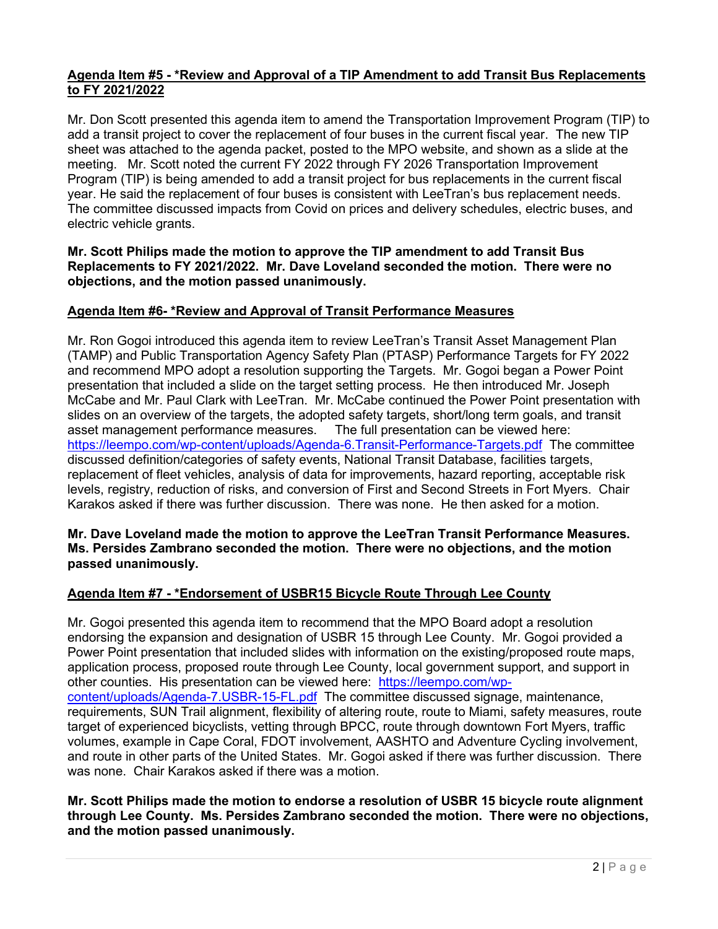## **Agenda Item #5 - \*Review and Approval of a TIP Amendment to add Transit Bus Replacements to FY 2021/2022**

Mr. Don Scott presented this agenda item to amend the Transportation Improvement Program (TIP) to add a transit project to cover the replacement of four buses in the current fiscal year. The new TIP sheet was attached to the agenda packet, posted to the MPO website, and shown as a slide at the meeting. Mr. Scott noted the current FY 2022 through FY 2026 Transportation Improvement Program (TIP) is being amended to add a transit project for bus replacements in the current fiscal year. He said the replacement of four buses is consistent with LeeTran's bus replacement needs. The committee discussed impacts from Covid on prices and delivery schedules, electric buses, and electric vehicle grants.

### **Mr. Scott Philips made the motion to approve the TIP amendment to add Transit Bus Replacements to FY 2021/2022. Mr. Dave Loveland seconded the motion. There were no objections, and the motion passed unanimously.**

## **Agenda Item #6- \*Review and Approval of Transit Performance Measures**

Mr. Ron Gogoi introduced this agenda item to review LeeTran's Transit Asset Management Plan (TAMP) and Public Transportation Agency Safety Plan (PTASP) Performance Targets for FY 2022 and recommend MPO adopt a resolution supporting the Targets. Mr. Gogoi began a Power Point presentation that included a slide on the target setting process. He then introduced Mr. Joseph McCabe and Mr. Paul Clark with LeeTran. Mr. McCabe continued the Power Point presentation with slides on an overview of the targets, the adopted safety targets, short/long term goals, and transit asset management performance measures. The full presentation can be viewed here: <https://leempo.com/wp-content/uploads/Agenda-6.Transit-Performance-Targets.pdf>The committee discussed definition/categories of safety events, National Transit Database, facilities targets, replacement of fleet vehicles, analysis of data for improvements, hazard reporting, acceptable risk levels, registry, reduction of risks, and conversion of First and Second Streets in Fort Myers. Chair Karakos asked if there was further discussion. There was none. He then asked for a motion.

### **Mr. Dave Loveland made the motion to approve the LeeTran Transit Performance Measures. Ms. Persides Zambrano seconded the motion. There were no objections, and the motion passed unanimously.**

# **Agenda Item #7 - \*Endorsement of USBR15 Bicycle Route Through Lee County**

Mr. Gogoi presented this agenda item to recommend that the MPO Board adopt a resolution endorsing the expansion and designation of USBR 15 through Lee County. Mr. Gogoi provided a Power Point presentation that included slides with information on the existing/proposed route maps, application process, proposed route through Lee County, local government support, and support in other counties. His presentation can be viewed here: [https://leempo.com/wp](https://leempo.com/wp-content/uploads/Agenda-7.USBR-15-FL.pdf)[content/uploads/Agenda-7.USBR-15-FL.pdf](https://leempo.com/wp-content/uploads/Agenda-7.USBR-15-FL.pdf) The committee discussed signage, maintenance, requirements, SUN Trail alignment, flexibility of altering route, route to Miami, safety measures, route target of experienced bicyclists, vetting through BPCC, route through downtown Fort Myers, traffic volumes, example in Cape Coral, FDOT involvement, AASHTO and Adventure Cycling involvement, and route in other parts of the United States. Mr. Gogoi asked if there was further discussion. There was none. Chair Karakos asked if there was a motion.

**Mr. Scott Philips made the motion to endorse a resolution of USBR 15 bicycle route alignment through Lee County. Ms. Persides Zambrano seconded the motion. There were no objections, and the motion passed unanimously.**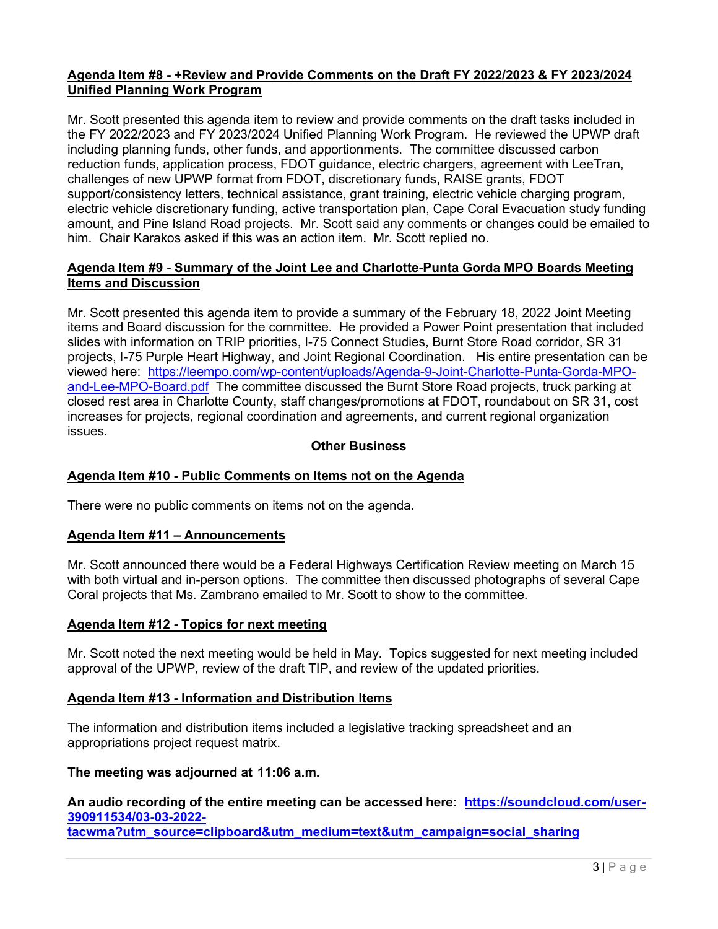### **Agenda Item #8 - +Review and Provide Comments on the Draft FY 2022/2023 & FY 2023/2024 Unified Planning Work Program**

Mr. Scott presented this agenda item to review and provide comments on the draft tasks included in the FY 2022/2023 and FY 2023/2024 Unified Planning Work Program. He reviewed the UPWP draft including planning funds, other funds, and apportionments. The committee discussed carbon reduction funds, application process, FDOT guidance, electric chargers, agreement with LeeTran, challenges of new UPWP format from FDOT, discretionary funds, RAISE grants, FDOT support/consistency letters, technical assistance, grant training, electric vehicle charging program, electric vehicle discretionary funding, active transportation plan, Cape Coral Evacuation study funding amount, and Pine Island Road projects. Mr. Scott said any comments or changes could be emailed to him. Chair Karakos asked if this was an action item. Mr. Scott replied no.

## **Agenda Item #9 - Summary of the Joint Lee and Charlotte-Punta Gorda MPO Boards Meeting Items and Discussion**

Mr. Scott presented this agenda item to provide a summary of the February 18, 2022 Joint Meeting items and Board discussion for the committee. He provided a Power Point presentation that included slides with information on TRIP priorities, I-75 Connect Studies, Burnt Store Road corridor, SR 31 projects, I-75 Purple Heart Highway, and Joint Regional Coordination. His entire presentation can be viewed here: [https://leempo.com/wp-content/uploads/Agenda-9-Joint-Charlotte-Punta-Gorda-MPO](https://leempo.com/wp-content/uploads/Agenda-9-Joint-Charlotte-Punta-Gorda-MPO-and-Lee-MPO-Board.pdf)[and-Lee-MPO-Board.pdf](https://leempo.com/wp-content/uploads/Agenda-9-Joint-Charlotte-Punta-Gorda-MPO-and-Lee-MPO-Board.pdf) The committee discussed the Burnt Store Road projects, truck parking at closed rest area in Charlotte County, staff changes/promotions at FDOT, roundabout on SR 31, cost increases for projects, regional coordination and agreements, and current regional organization issues.

## **Other Business**

## **Agenda Item #10 - Public Comments on Items not on the Agenda**

There were no public comments on items not on the agenda.

#### **Agenda Item #11 – Announcements**

Mr. Scott announced there would be a Federal Highways Certification Review meeting on March 15 with both virtual and in-person options. The committee then discussed photographs of several Cape Coral projects that Ms. Zambrano emailed to Mr. Scott to show to the committee.

#### **Agenda Item #12 - Topics for next meeting**

Mr. Scott noted the next meeting would be held in May. Topics suggested for next meeting included approval of the UPWP, review of the draft TIP, and review of the updated priorities.

#### **Agenda Item #13 - Information and Distribution Items**

The information and distribution items included a legislative tracking spreadsheet and an appropriations project request matrix.

### **The meeting was adjourned at 11:06 a.m.**

**An audio recording of the entire meeting can be accessed here: [https://soundcloud.com/user-](https://soundcloud.com/user-390911534/03-03-2022-tacwma?utm_source=clipboard&utm_medium=text&utm_campaign=social_sharing)[390911534/03-03-2022](https://soundcloud.com/user-390911534/03-03-2022-tacwma?utm_source=clipboard&utm_medium=text&utm_campaign=social_sharing) [tacwma?utm\\_source=clipboard&utm\\_medium=text&utm\\_campaign=social\\_sharing](https://soundcloud.com/user-390911534/03-03-2022-tacwma?utm_source=clipboard&utm_medium=text&utm_campaign=social_sharing)**